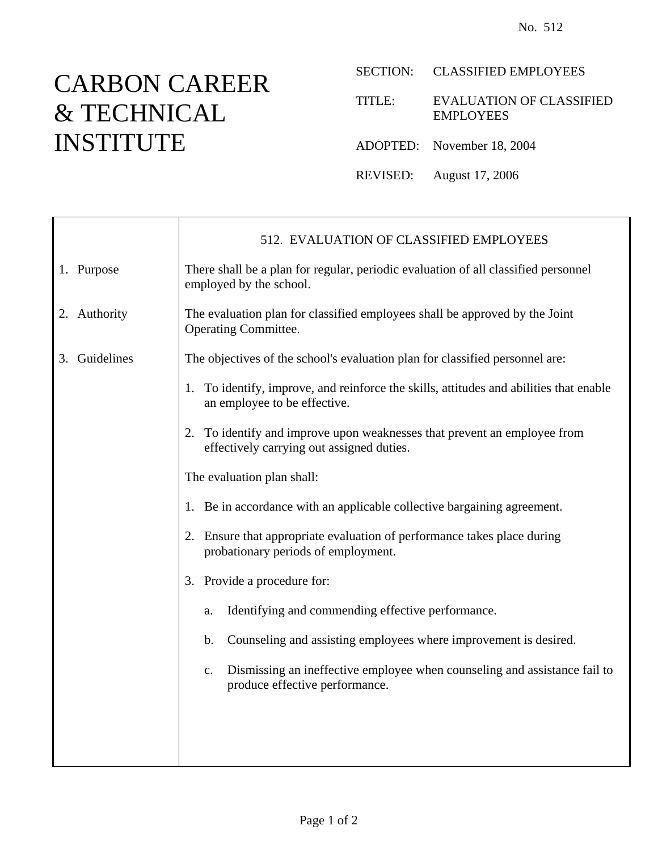## CARBON CAREER & TECHNICAL INSTITUTE

- SECTION: CLASSIFIED EMPLOYEES
- TITLE: EVALUATION OF CLASSIFIED EMPLOYEES
- ADOPTED: November 18, 2004
- REVISED: August 17, 2006

|               | 512. EVALUATION OF CLASSIFIED EMPLOYEES                                                                                       |  |  |  |  |
|---------------|-------------------------------------------------------------------------------------------------------------------------------|--|--|--|--|
| 1. Purpose    | There shall be a plan for regular, periodic evaluation of all classified personnel<br>employed by the school.                 |  |  |  |  |
| 2. Authority  | The evaluation plan for classified employees shall be approved by the Joint<br><b>Operating Committee.</b>                    |  |  |  |  |
| 3. Guidelines | The objectives of the school's evaluation plan for classified personnel are:                                                  |  |  |  |  |
|               | To identify, improve, and reinforce the skills, attitudes and abilities that enable<br>1.<br>an employee to be effective.     |  |  |  |  |
|               | 2. To identify and improve upon weaknesses that prevent an employee from<br>effectively carrying out assigned duties.         |  |  |  |  |
|               | The evaluation plan shall:                                                                                                    |  |  |  |  |
|               | 1. Be in accordance with an applicable collective bargaining agreement.                                                       |  |  |  |  |
|               | 2. Ensure that appropriate evaluation of performance takes place during<br>probationary periods of employment.                |  |  |  |  |
|               | 3. Provide a procedure for:                                                                                                   |  |  |  |  |
|               | Identifying and commending effective performance.<br>a.                                                                       |  |  |  |  |
|               | Counseling and assisting employees where improvement is desired.<br>$\mathbf b$ .                                             |  |  |  |  |
|               | Dismissing an ineffective employee when counseling and assistance fail to<br>$\mathbf{c}$ .<br>produce effective performance. |  |  |  |  |
|               |                                                                                                                               |  |  |  |  |
|               |                                                                                                                               |  |  |  |  |